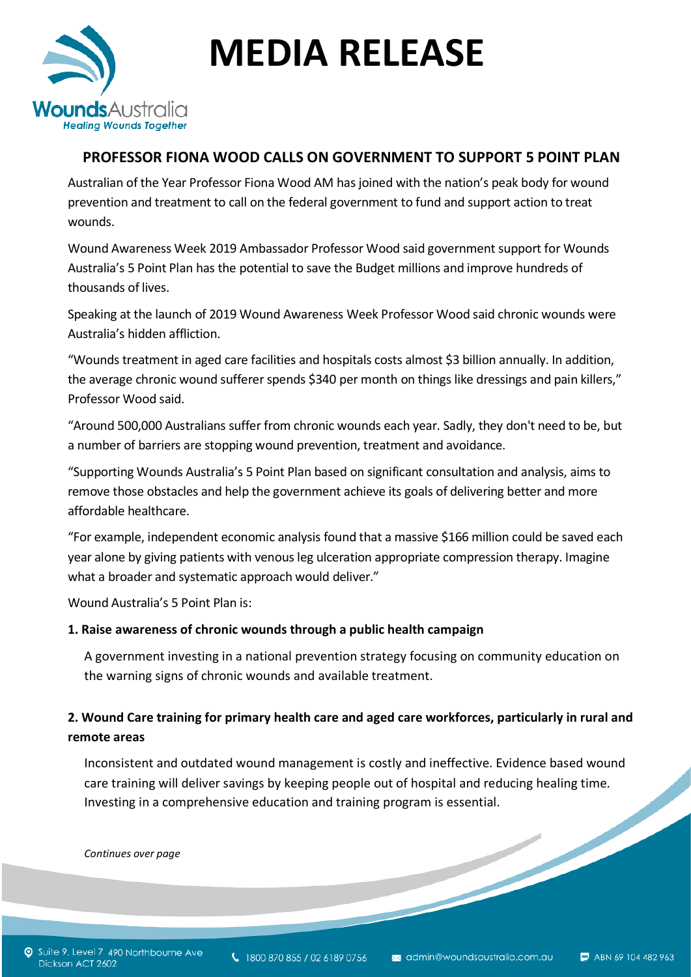

# **MEDIA RELEASE**

# **PROFESSOR FIONA WOOD CALLS ON GOVERNMENT TO SUPPORT 5 POINT PLAN**

Australian of the Year Professor Fiona Wood AM has joined with the nation's peak body for wound prevention and treatment to call on the federal government to fund and support action to treat wounds.

Wound Awareness Week 2019 Ambassador Professor Wood said government support for Wounds Australia's 5 Point Plan has the potential to save the Budget millions and improve hundreds of thousands of lives.

Speaking at the launch of 2019 Wound Awareness Week Professor Wood said chronic wounds were Australia's hidden affliction.

"Wounds treatment in aged care facilities and hospitals costs almost \$3 billion annually. In addition, the average chronic wound sufferer spends \$340 per month on things like dressings and pain killers," Professor Wood said.

"Around 500,000 Australians suffer from chronic wounds each year. Sadly, they don't need to be, but a number of barriers are stopping wound prevention, treatment and avoidance.

"Supporting Wounds Australia's 5 Point Plan based on significant consultation and analysis, aims to remove those obstacles and help the government achieve its goals of delivering better and more affordable healthcare.

"For example, independent economic analysis found that a massive \$166 million could be saved each year alone by giving patients with venous leg ulceration appropriate compression therapy. Imagine what a broader and systematic approach would deliver."

Wound Australia's 5 Point Plan is:

### **1. Raise awareness of chronic wounds through a public health campaign**

A government investing in a national prevention strategy focusing on community education on the warning signs of chronic wounds and available treatment.

## **2. Wound Care training for primary health care and aged care workforces, particularly in rural and remote areas**

Inconsistent and outdated wound management is costly and ineffective. Evidence based wound care training will deliver savings by keeping people out of hospital and reducing healing time.<br>Investing in a comprehensive education and training program is essential.<br>Continues over page Investing in a comprehensive education and training program is essential.

*Continues over page*